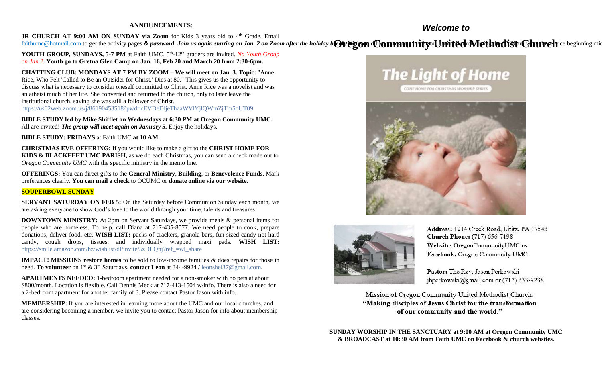#### **ANNOUNCEMENTS:**

*Welcome to*

JR CHURCH AT 9:00 AM ON SUNDAY via Zoom for Kids 3 years old to 4<sup>th</sup> Grade. Email [faithumc@hotmail.com](about:blank) to get the activity pages & password. Join us again starting on Jan. 2 on Zoom after the holiday b@regondCommunityollymitedrMethodistaChurehice beginning mic

**YOUTH GROUP, SUNDAYS, 5-7 PM** at Faith UMC. 5<sup>th</sup>-12<sup>th</sup> graders are invited. *No Youth Group on Jan 2.* **Youth go to Gretna Glen Camp on Jan. 16, Feb 20 and March 20 from 2:30-6pm.**

**CHATTING CLUB: MONDAYS AT 7 PM BY ZOOM – We will meet on Jan. 3. Topic:** "Anne Rice, Who Felt 'Called to Be an Outsider for Christ,' Dies at 80." This gives us the opportunity to discuss what is necessary to consider oneself committed to Christ. Anne Rice was a novelist and was an atheist much of her life. She converted and returned to the church, only to later leave the institutional church, saying she was still a follower of Christ. <https://us02web.zoom.us/j/86190453518?pwd=cEVDeDljeThaaWVlYjlQWmZjTm5oUT09>

**BIBLE STUDY led by Mike Shifflet on Wednesdays at 6:30 PM at Oregon Community UMC.**  All are invited! *The group will meet again on January 5.* Enjoy the holidays.

**BIBLE STUDY: FRIDAYS** at Faith UMC **at 10 AM**

**CHRISTMAS EVE OFFERING:** If you would like to make a gift to the **CHRIST HOME FOR KIDS & BLACKFEET UMC PARISH,** as we do each Christmas, you can send a check made out to *Oregon Community UMC* with the specific ministry in the memo line.

**OFFERINGS:** You can direct gifts to the **General Ministry**, **Building**, or **Benevolence Funds**. Mark preferences clearly. **You can mail a check** to OCUMC or **donate online via our website**.

## **SOUPERBOWL SUNDAY**

**SERVANT SATURDAY ON FEB 5:** On the Saturday before Communion Sunday each month, we are asking everyone to show God's love to the world through your time, talents and treasures.

**DOWNTOWN MINISTRY:** At 2pm on Servant Saturdays, we provide meals & personal items for people who are homeless. To help, call Diana at 717-435-8577. We need people to cook, prepare donations, deliver food, etc. **WISH LIST:** packs of crackers, granola bars, fun sized candy-not hard candy, cough drops, tissues, and individually wrapped maxi pads. **WISH LIST:** [https://smile.amazon.com/hz/wishlist/dl/invite/5zDLQnj?ref\\_=wl\\_share](https://smile.amazon.com/hz/wishlist/dl/invite/5zDLQnj?ref_=wl_share)

**IMPACT! MISSIONS restore homes** to be sold to low-income families & does repairs for those in need. **To volunteer** on 1st & 3rd Saturdays, **contact Leon** at 344-9924 / [leonshel37@gmail.com.](about:blank)

**APARTMENTS NEEDED:** 1-bedroom apartment needed for a non-smoker with no pets at about \$800/month. Location is flexible. Call Dennis Meck at 717-413-1504 w/info. There is also a need for a 2-bedroom apartment for another family of 3. Please contact Pastor Jason with info.

**MEMBERSHIP:** If you are interested in learning more about the UMC and our local churches, and are considering becoming a member, we invite you to contact Pastor Jason for info about membership classes.





Address: 1214 Creek Road, Lititz, PA 17543 **Church Phone:** (717) 656-7198 Website: OregonCommunityUMC.us Facebook: Oregon Community UMC

Pastor: The Rev. Jason Perkowski jbperkowski@gmail.com or (717) 333-9238

Mission of Oregon Community United Methodist Church: "Making disciples of Jesus Christ for the transformation of our community and the world."

**SUNDAY WORSHIP IN THE SANCTUARY at 9:00 AM at Oregon Community UMC & BROADCAST at 10:30 AM from Faith UMC on Facebook & church websites.**